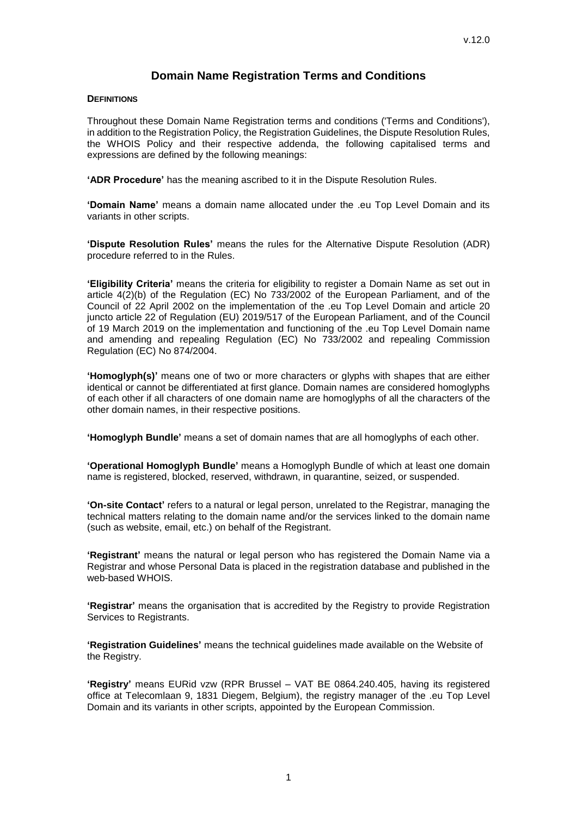# **Domain Name Registration Terms and Conditions**

#### **DEFINITIONS**

Throughout these Domain Name Registration terms and conditions ('Terms and Conditions'), in addition to the Registration Policy, the Registration Guidelines, the Dispute Resolution Rules, the WHOIS Policy and their respective addenda, the following capitalised terms and expressions are defined by the following meanings:

**'ADR Procedure'** has the meaning ascribed to it in the Dispute Resolution Rules.

**'Domain Name'** means a domain name allocated under the .eu Top Level Domain and its variants in other scripts.

**'Dispute Resolution Rules'** means the rules for the Alternative Dispute Resolution (ADR) procedure referred to in the Rules.

**'Eligibility Criteria'** means the criteria for eligibility to register a Domain Name as set out in article 4(2)(b) of the Regulation (EC) No 733/2002 of the European Parliament, and of the Council of 22 April 2002 on the implementation of the .eu Top Level Domain and article 20 juncto article 22 of Regulation (EU) 2019/517 of the European Parliament, and of the Council of 19 March 2019 on the implementation and functioning of the .eu Top Level Domain name and amending and repealing Regulation (EC) No 733/2002 and repealing Commission Regulation (EC) No 874/2004.

**'Homoglyph(s)'** means one of two or more characters or glyphs with shapes that are either identical or cannot be differentiated at first glance. Domain names are considered homoglyphs of each other if all characters of one domain name are homoglyphs of all the characters of the other domain names, in their respective positions.

**'Homoglyph Bundle'** means a set of domain names that are all homoglyphs of each other.

**'Operational Homoglyph Bundle'** means a Homoglyph Bundle of which at least one domain name is registered, blocked, reserved, withdrawn, in quarantine, seized, or suspended.

**'On-site Contact'** refers to a natural or legal person, unrelated to the Registrar, managing the technical matters relating to the domain name and/or the services linked to the domain name (such as website, email, etc.) on behalf of the Registrant.

**'Registrant'** means the natural or legal person who has registered the Domain Name via a Registrar and whose Personal Data is placed in the registration database and published in the web-based WHOIS.

**'Registrar'** means the organisation that is accredited by the Registry to provide Registration Services to Registrants.

**'Registration Guidelines'** means the technical guidelines made available on the Website of the Registry.

**'Registry'** means EURid vzw (RPR Brussel – VAT BE 0864.240.405, having its registered office at Telecomlaan 9, 1831 Diegem, Belgium), the registry manager of the .eu Top Level Domain and its variants in other scripts, appointed by the European Commission.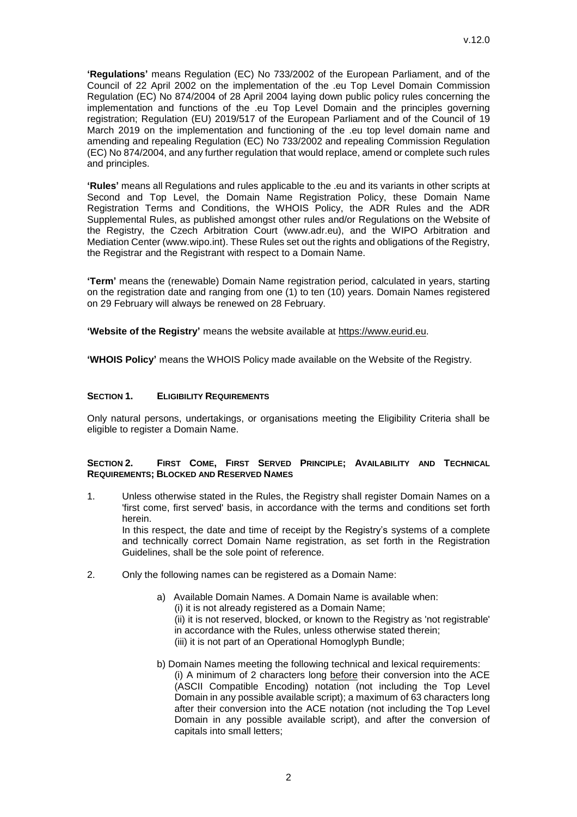**'Regulations'** means Regulation (EC) No 733/2002 of the European Parliament, and of the Council of 22 April 2002 on the implementation of the .eu Top Level Domain Commission Regulation (EC) No 874/2004 of 28 April 2004 laying down public policy rules concerning the implementation and functions of the .eu Top Level Domain and the principles governing registration; Regulation (EU) 2019/517 of the European Parliament and of the Council of 19 March 2019 on the implementation and functioning of the .eu top level domain name and amending and repealing Regulation (EC) No 733/2002 and repealing Commission Regulation (EC) No 874/2004, and any further regulation that would replace, amend or complete such rules and principles.

**'Rules'** means all Regulations and rules applicable to the .eu and its variants in other scripts at Second and Top Level, the Domain Name Registration Policy, these Domain Name Registration Terms and Conditions, the WHOIS Policy, the ADR Rules and the ADR Supplemental Rules, as published amongst other rules and/or Regulations on the Website of the Registry, the Czech Arbitration Court (www.adr.eu), and the WIPO Arbitration and Mediation Center [\(www.wipo.int\)](http://www.wipo.int/). These Rules set out the rights and obligations of the Registry, the Registrar and the Registrant with respect to a Domain Name.

**'Term'** means the (renewable) Domain Name registration period, calculated in years, starting on the registration date and ranging from one (1) to ten (10) years. Domain Names registered on 29 February will always be renewed on 28 February.

**'Website of the Registry'** means the website available at [https://www.eurid.eu.](https://www.eurid.eu/)

**'WHOIS Policy'** means the WHOIS Policy made available on the Website of the Registry.

#### **SECTION 1. ELIGIBILITY REQUIREMENTS**

Only natural persons, undertakings, or organisations meeting the Eligibility Criteria shall be eligible to register a Domain Name.

#### **SECTION 2. FIRST COME, FIRST SERVED PRINCIPLE; AVAILABILITY AND TECHNICAL REQUIREMENTS; BLOCKED AND RESERVED NAMES**

- 1. Unless otherwise stated in the Rules, the Registry shall register Domain Names on a 'first come, first served' basis, in accordance with the terms and conditions set forth herein. In this respect, the date and time of receipt by the Registry's systems of a complete and technically correct Domain Name registration, as set forth in the Registration Guidelines, shall be the sole point of reference.
- 2. Only the following names can be registered as a Domain Name:
	- a) Available Domain Names. A Domain Name is available when: (i) it is not already registered as a Domain Name; (ii) it is not reserved, blocked, or known to the Registry as 'not registrable' in accordance with the Rules, unless otherwise stated therein; (iii) it is not part of an Operational Homoglyph Bundle;
	- b) Domain Names meeting the following technical and lexical requirements: (i) A minimum of 2 characters long before their conversion into the ACE (ASCII Compatible Encoding) notation (not including the Top Level Domain in any possible available script); a maximum of 63 characters long after their conversion into the ACE notation (not including the Top Level Domain in any possible available script), and after the conversion of capitals into small letters;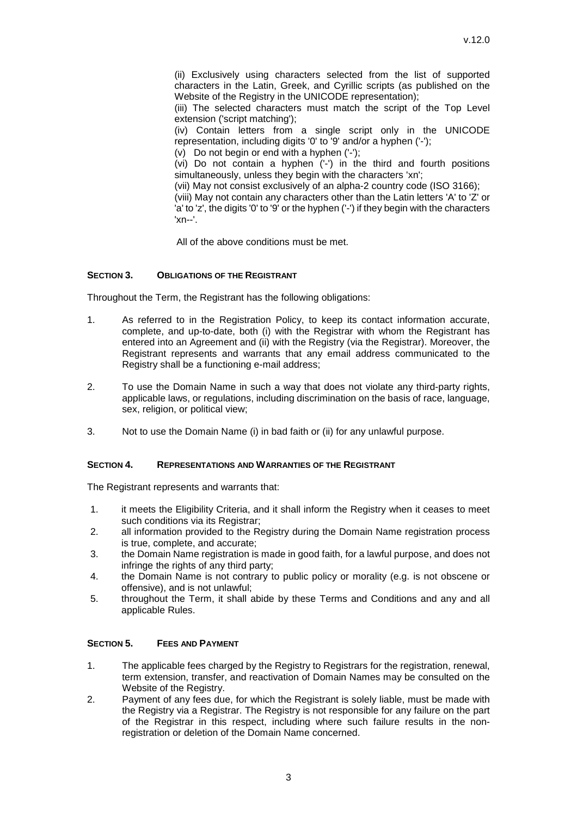(ii) Exclusively using characters selected from the list of supported characters in the Latin, Greek, and Cyrillic scripts (as published on the Website of the Registry in the UNICODE representation);

(iii) The selected characters must match the script of the Top Level extension ('script matching');

(iv) Contain letters from a single script only in the UNICODE representation, including digits '0' to '9' and/or a hyphen ('-');

(v) Do not begin or end with a hyphen ('-');

(vi) Do not contain a hyphen ('-') in the third and fourth positions simultaneously, unless they begin with the characters 'xn';

(vii) May not consist exclusively of an alpha-2 country code (ISO 3166);

(viii) May not contain any characters other than the Latin letters 'A' to 'Z' or 'a' to 'z', the digits '0' to '9' or the hyphen ('-') if they begin with the characters 'xn--'.

All of the above conditions must be met.

### **SECTION 3. OBLIGATIONS OF THE REGISTRANT**

Throughout the Term, the Registrant has the following obligations:

- 1. As referred to in the Registration Policy, to keep its contact information accurate, complete, and up-to-date, both (i) with the Registrar with whom the Registrant has entered into an Agreement and (ii) with the Registry (via the Registrar). Moreover, the Registrant represents and warrants that any email address communicated to the Registry shall be a functioning e-mail address;
- 2. To use the Domain Name in such a way that does not violate any third-party rights, applicable laws, or regulations, including discrimination on the basis of race, language, sex, religion, or political view;
- 3. Not to use the Domain Name (i) in bad faith or (ii) for any unlawful purpose.

#### **SECTION 4. REPRESENTATIONS AND WARRANTIES OF THE REGISTRANT**

The Registrant represents and warrants that:

- 1. it meets the Eligibility Criteria, and it shall inform the Registry when it ceases to meet such conditions via its Registrar;
- 2. all information provided to the Registry during the Domain Name registration process is true, complete, and accurate;
- 3. the Domain Name registration is made in good faith, for a lawful purpose, and does not infringe the rights of any third party;
- 4. the Domain Name is not contrary to public policy or morality (e.g. is not obscene or offensive), and is not unlawful;
- 5. throughout the Term, it shall abide by these Terms and Conditions and any and all applicable Rules.

## **SECTION 5. FEES AND PAYMENT**

- 1. The applicable fees charged by the Registry to Registrars for the registration, renewal, term extension, transfer, and reactivation of Domain Names may be consulted on the Website of the Registry.
- 2. Payment of any fees due, for which the Registrant is solely liable, must be made with the Registry via a Registrar. The Registry is not responsible for any failure on the part of the Registrar in this respect, including where such failure results in the nonregistration or deletion of the Domain Name concerned.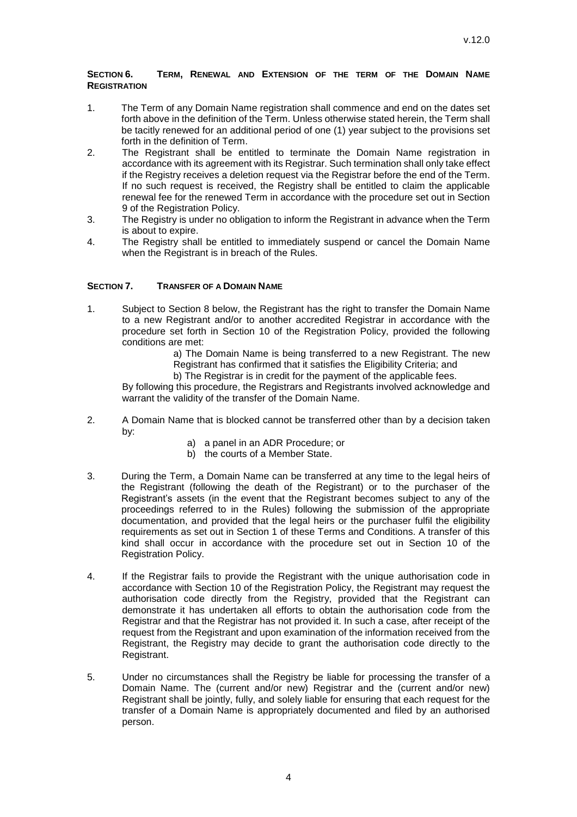### **SECTION 6. TERM, RENEWAL AND EXTENSION OF THE TERM OF THE DOMAIN NAME REGISTRATION**

- 1. The Term of any Domain Name registration shall commence and end on the dates set forth above in the definition of the Term. Unless otherwise stated herein, the Term shall be tacitly renewed for an additional period of one (1) year subject to the provisions set forth in the definition of Term.
- 2. The Registrant shall be entitled to terminate the Domain Name registration in accordance with its agreement with its Registrar. Such termination shall only take effect if the Registry receives a deletion request via the Registrar before the end of the Term. If no such request is received, the Registry shall be entitled to claim the applicable renewal fee for the renewed Term in accordance with the procedure set out in Section 9 of the Registration Policy.
- 3. The Registry is under no obligation to inform the Registrant in advance when the Term is about to expire.
- 4. The Registry shall be entitled to immediately suspend or cancel the Domain Name when the Registrant is in breach of the Rules.

### **SECTION 7. TRANSFER OF A DOMAIN NAME**

1. Subject to Section 8 below, the Registrant has the right to transfer the Domain Name to a new Registrant and/or to another accredited Registrar in accordance with the procedure set forth in Section 10 of the Registration Policy, provided the following conditions are met:

a) The Domain Name is being transferred to a new Registrant. The new Registrant has confirmed that it satisfies the Eligibility Criteria; and

b) The Registrar is in credit for the payment of the applicable fees.

By following this procedure, the Registrars and Registrants involved acknowledge and warrant the validity of the transfer of the Domain Name.

- 2. A Domain Name that is blocked cannot be transferred other than by a decision taken by:
	- a) a panel in an ADR Procedure; or
	- b) the courts of a Member State.
- 3. During the Term, a Domain Name can be transferred at any time to the legal heirs of the Registrant (following the death of the Registrant) or to the purchaser of the Registrant's assets (in the event that the Registrant becomes subject to any of the proceedings referred to in the Rules) following the submission of the appropriate documentation, and provided that the legal heirs or the purchaser fulfil the eligibility requirements as set out in Section 1 of these Terms and Conditions. A transfer of this kind shall occur in accordance with the procedure set out in Section 10 of the Registration Policy.
- 4. If the Registrar fails to provide the Registrant with the unique authorisation code in accordance with Section 10 of the Registration Policy, the Registrant may request the authorisation code directly from the Registry, provided that the Registrant can demonstrate it has undertaken all efforts to obtain the authorisation code from the Registrar and that the Registrar has not provided it. In such a case, after receipt of the request from the Registrant and upon examination of the information received from the Registrant, the Registry may decide to grant the authorisation code directly to the Registrant.
- 5. Under no circumstances shall the Registry be liable for processing the transfer of a Domain Name. The (current and/or new) Registrar and the (current and/or new) Registrant shall be jointly, fully, and solely liable for ensuring that each request for the transfer of a Domain Name is appropriately documented and filed by an authorised person.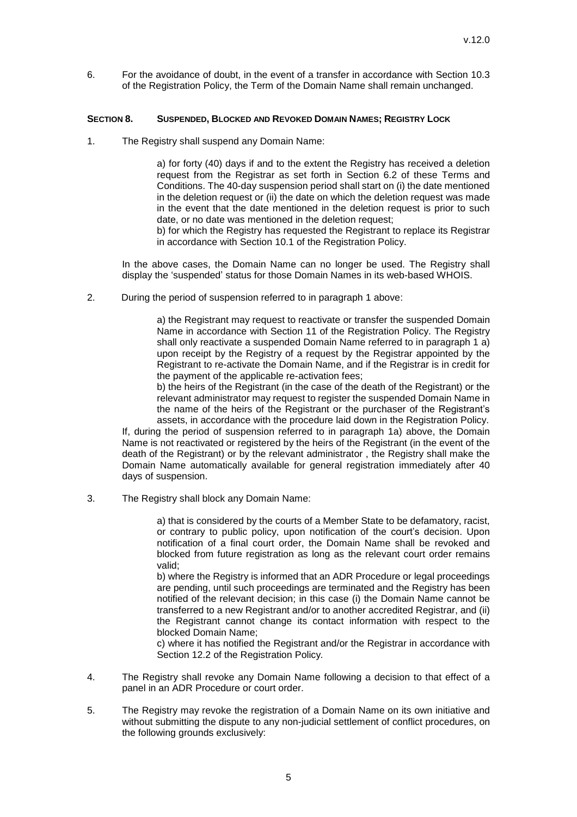6. For the avoidance of doubt, in the event of a transfer in accordance with Section 10.3 of the Registration Policy, the Term of the Domain Name shall remain unchanged.

#### **SECTION 8. SUSPENDED, BLOCKED AND REVOKED DOMAIN NAMES; REGISTRY LOCK**

1. The Registry shall suspend any Domain Name:

a) for forty (40) days if and to the extent the Registry has received a deletion request from the Registrar as set forth in Section 6.2 of these Terms and Conditions. The 40-day suspension period shall start on (i) the date mentioned in the deletion request or (ii) the date on which the deletion request was made in the event that the date mentioned in the deletion request is prior to such date, or no date was mentioned in the deletion request;

b) for which the Registry has requested the Registrant to replace its Registrar in accordance with Section 10.1 of the Registration Policy.

In the above cases, the Domain Name can no longer be used. The Registry shall display the 'suspended' status for those Domain Names in its web-based WHOIS.

2. During the period of suspension referred to in paragraph 1 above:

a) the Registrant may request to reactivate or transfer the suspended Domain Name in accordance with Section 11 of the Registration Policy. The Registry shall only reactivate a suspended Domain Name referred to in paragraph 1 a) upon receipt by the Registry of a request by the Registrar appointed by the Registrant to re-activate the Domain Name, and if the Registrar is in credit for the payment of the applicable re-activation fees;

b) the heirs of the Registrant (in the case of the death of the Registrant) or the relevant administrator may request to register the suspended Domain Name in the name of the heirs of the Registrant or the purchaser of the Registrant's assets, in accordance with the procedure laid down in the Registration Policy.

If, during the period of suspension referred to in paragraph 1a) above, the Domain Name is not reactivated or registered by the heirs of the Registrant (in the event of the death of the Registrant) or by the relevant administrator , the Registry shall make the Domain Name automatically available for general registration immediately after 40 days of suspension.

3. The Registry shall block any Domain Name:

a) that is considered by the courts of a Member State to be defamatory, racist, or contrary to public policy, upon notification of the court's decision. Upon notification of a final court order, the Domain Name shall be revoked and blocked from future registration as long as the relevant court order remains valid;

b) where the Registry is informed that an ADR Procedure or legal proceedings are pending, until such proceedings are terminated and the Registry has been notified of the relevant decision; in this case (i) the Domain Name cannot be transferred to a new Registrant and/or to another accredited Registrar, and (ii) the Registrant cannot change its contact information with respect to the blocked Domain Name;

c) where it has notified the Registrant and/or the Registrar in accordance with Section 12.2 of the Registration Policy*.*

- 4. The Registry shall revoke any Domain Name following a decision to that effect of a panel in an ADR Procedure or court order.
- 5. The Registry may revoke the registration of a Domain Name on its own initiative and without submitting the dispute to any non-judicial settlement of conflict procedures, on the following grounds exclusively: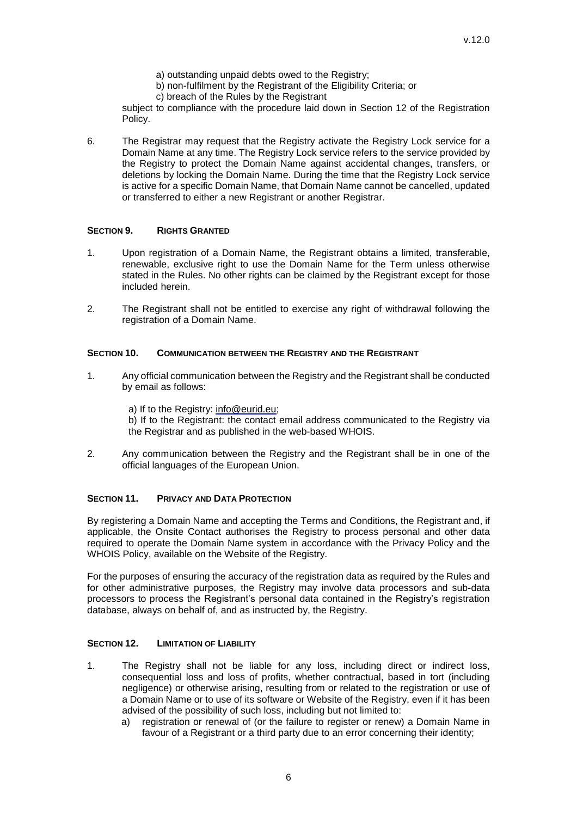- a) outstanding unpaid debts owed to the Registry;
- b) non-fulfilment by the Registrant of the Eligibility Criteria; or
- c) breach of the Rules by the Registrant

subject to compliance with the procedure laid down in Section 12 of the Registration Policy.

6. The Registrar may request that the Registry activate the Registry Lock service for a Domain Name at any time. The Registry Lock service refers to the service provided by the Registry to protect the Domain Name against accidental changes, transfers, or deletions by locking the Domain Name. During the time that the Registry Lock service is active for a specific Domain Name, that Domain Name cannot be cancelled, updated or transferred to either a new Registrant or another Registrar.

#### **SECTION 9. RIGHTS GRANTED**

- 1. Upon registration of a Domain Name, the Registrant obtains a limited, transferable, renewable, exclusive right to use the Domain Name for the Term unless otherwise stated in the Rules. No other rights can be claimed by the Registrant except for those included herein.
- 2. The Registrant shall not be entitled to exercise any right of withdrawal following the registration of a Domain Name.

#### **SECTION 10. COMMUNICATION BETWEEN THE REGISTRY AND THE REGISTRANT**

1. Any official communication between the Registry and the Registrant shall be conducted by email as follows:

a) If to the Registry: [info@eurid.eu;](mailto:info@eurid.eu)

b) If to the Registrant: the contact email address communicated to the Registry via the Registrar and as published in the web-based WHOIS.

2. Any communication between the Registry and the Registrant shall be in one of the official languages of the European Union.

#### **SECTION 11. PRIVACY AND DATA PROTECTION**

By registering a Domain Name and accepting the Terms and Conditions, the Registrant and, if applicable, the Onsite Contact authorises the Registry to process personal and other data required to operate the Domain Name system in accordance with the Privacy Policy and the WHOIS Policy, available on the Website of the Registry.

For the purposes of ensuring the accuracy of the registration data as required by the Rules and for other administrative purposes, the Registry may involve data processors and sub-data processors to process the Registrant's personal data contained in the Registry's registration database, always on behalf of, and as instructed by, the Registry.

### **SECTION 12. LIMITATION OF LIABILITY**

- 1. The Registry shall not be liable for any loss, including direct or indirect loss, consequential loss and loss of profits, whether contractual, based in tort (including negligence) or otherwise arising, resulting from or related to the registration or use of a Domain Name or to use of its software or Website of the Registry, even if it has been advised of the possibility of such loss, including but not limited to:
	- a) registration or renewal of (or the failure to register or renew) a Domain Name in favour of a Registrant or a third party due to an error concerning their identity;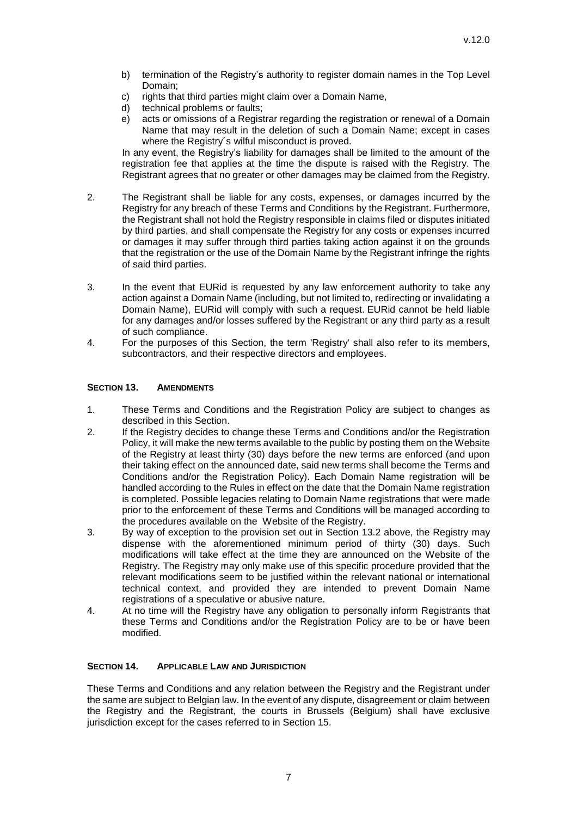- b) termination of the Registry's authority to register domain names in the Top Level Domain;
- c) rights that third parties might claim over a Domain Name,
- d) technical problems or faults;
- e) acts or omissions of a Registrar regarding the registration or renewal of a Domain Name that may result in the deletion of such a Domain Name; except in cases where the Registry´s wilful misconduct is proved.

In any event, the Registry's liability for damages shall be limited to the amount of the registration fee that applies at the time the dispute is raised with the Registry. The Registrant agrees that no greater or other damages may be claimed from the Registry.

- 2. The Registrant shall be liable for any costs, expenses, or damages incurred by the Registry for any breach of these Terms and Conditions by the Registrant. Furthermore, the Registrant shall not hold the Registry responsible in claims filed or disputes initiated by third parties, and shall compensate the Registry for any costs or expenses incurred or damages it may suffer through third parties taking action against it on the grounds that the registration or the use of the Domain Name by the Registrant infringe the rights of said third parties.
- 3. In the event that EURid is requested by any law enforcement authority to take any action against a Domain Name (including, but not limited to, redirecting or invalidating a Domain Name), EURid will comply with such a request. EURid cannot be held liable for any damages and/or losses suffered by the Registrant or any third party as a result of such compliance.
- 4. For the purposes of this Section, the term 'Registry' shall also refer to its members, subcontractors, and their respective directors and employees.

### **SECTION 13. AMENDMENTS**

- 1. These Terms and Conditions and the Registration Policy are subject to changes as described in this Section.
- 2. If the Registry decides to change these Terms and Conditions and/or the Registration Policy, it will make the new terms available to the public by posting them on the Website of the Registry at least thirty (30) days before the new terms are enforced (and upon their taking effect on the announced date, said new terms shall become the Terms and Conditions and/or the Registration Policy). Each Domain Name registration will be handled according to the Rules in effect on the date that the Domain Name registration is completed. Possible legacies relating to Domain Name registrations that were made prior to the enforcement of these Terms and Conditions will be managed according to the procedures available on the Website of the Registry.
- 3. By way of exception to the provision set out in Section 13.2 above, the Registry may dispense with the aforementioned minimum period of thirty (30) days. Such modifications will take effect at the time they are announced on the Website of the Registry. The Registry may only make use of this specific procedure provided that the relevant modifications seem to be justified within the relevant national or international technical context, and provided they are intended to prevent Domain Name registrations of a speculative or abusive nature.
- 4. At no time will the Registry have any obligation to personally inform Registrants that these Terms and Conditions and/or the Registration Policy are to be or have been modified.

### **SECTION 14. APPLICABLE LAW AND JURISDICTION**

These Terms and Conditions and any relation between the Registry and the Registrant under the same are subject to Belgian law. In the event of any dispute, disagreement or claim between the Registry and the Registrant, the courts in Brussels (Belgium) shall have exclusive jurisdiction except for the cases referred to in Section 15.